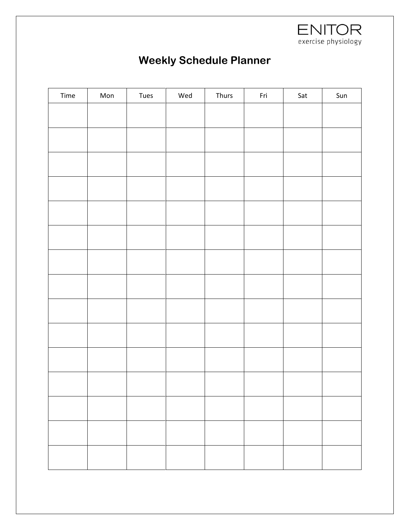**ENITOR** exercise physiology

## **Weekly Schedule Planner**

| Time | Mon | Tues | Wed | Thurs | Fri | Sat | Sun |
|------|-----|------|-----|-------|-----|-----|-----|
|      |     |      |     |       |     |     |     |
|      |     |      |     |       |     |     |     |
|      |     |      |     |       |     |     |     |
|      |     |      |     |       |     |     |     |
|      |     |      |     |       |     |     |     |
|      |     |      |     |       |     |     |     |
|      |     |      |     |       |     |     |     |
|      |     |      |     |       |     |     |     |
|      |     |      |     |       |     |     |     |
|      |     |      |     |       |     |     |     |
|      |     |      |     |       |     |     |     |
|      |     |      |     |       |     |     |     |
|      |     |      |     |       |     |     |     |
|      |     |      |     |       |     |     |     |
|      |     |      |     |       |     |     |     |
|      |     |      |     |       |     |     |     |